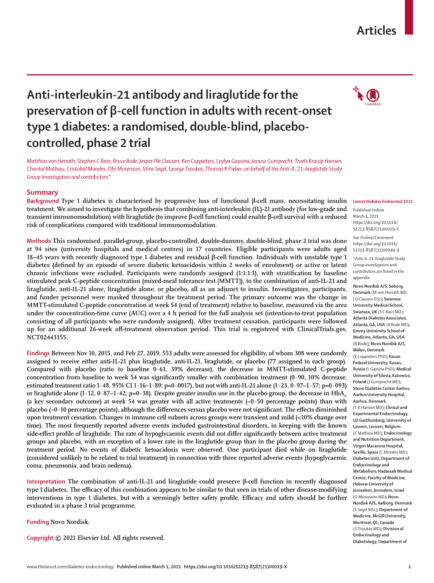#### www.thelancet.com/diabetes-endocrinology **Published online March 1, 2021 https://doi.org/10.1016/S2213-8587(21)00019-X 1**

# **Anti-interleukin-21 antibody and liraglutide for the preservation of β-cell function in adults with recent-onset type 1 diabetes: a randomised, double-blind, placebocontrolled, phase 2 trial**

*Matthias von Herrath, Stephen C Bain, Bruce Bode, Jesper Ole Clausen, Ken Coppieters, Leylya Gaysina, Janusz Gumprecht, Troels Krarup Hansen, Chantal Mathieu, Cristobal Morales, Ofri Mosenzon, Stine Segel, George Tsoukas, Thomas R Pieber, on behalf of the Anti-IL-21–liraglutide Study Group investigators and contributors\**

# **Summary**

**Background Type 1 diabetes is characterised by progressive loss of functional β-cell mass, necessitating insulin treatment. We aimed to investigate the hypothesis that combining anti-interleukin (IL)-21 antibody (for low-grade and transient immunomodulation) with liraglutide (to improve β-cell function) could enable β-cell survival with a reduced risk of complications compared with traditional immunomodulation.**

**Methods This randomised, parallel-group, placebo-controlled, double-dummy, double-blind, phase 2 trial was done at 94 sites (university hospitals and medical centres) in 17 countries. Eligible participants were adults aged 18–45 years with recently diagnosed type 1 diabetes and residual β-cell function. Individuals with unstable type 1 diabetes (defined by an episode of severe diabetic ketoacidosis within 2 weeks of enrolment) or active or latent chronic infections were excluded. Participants were randomly assigned (1:1:1:1), with stratification by baseline stimulated peak C-peptide concentration (mixed-meal tolerance test [MMTT]), to the combination of anti-IL-21 and liraglutide, anti-IL-21 alone, liraglutide alone, or placebo, all as an adjunct to insulin. Investigators, participants, and funder personnel were masked throughout the treatment period. The primary outcome was the change in MMTT-stimulated C-peptide concentration at week 54 (end of treatment) relative to baseline, measured via the area under the concentration-time curve (AUC) over a 4 h period for the full analysis set (intention-to-treat population consisting of all participants who were randomly assigned). After treatment cessation, participants were followed up for an additional 26-week off-treatment observation period. This trial is registered with ClinicalTrials.gov, NCT02443155.**

**Findings Between Nov 10, 2015, and Feb 27, 2019, 553 adults were assessed for eligibility, of whom 308 were randomly assigned to receive either anti-IL-21 plus liraglutide, anti-IL-21, liraglutide, or placebo (77 assigned to each group). Compared with placebo (ratio to baseline 0·61, 39% decrease), the decrease in MMTT-stimulated C-peptide concentration from baseline to week 54 was significantly smaller with combination treatment (0·90, 10% decrease; estimated treatment ratio 1·48, 95% CI 1·16–1·89; p=0·0017), but not with anti-IL-21 alone (1·23, 0·97–1·57; p=0·093)**  or liraglutide alone  $(1 \cdot 12, 0 \cdot 87 - 1 \cdot 42; p=0 \cdot 38)$ . Despite greater insulin use in the placebo group, the decrease in  $HbA<sub>c</sub>$ **(a key secondary outcome) at week 54 was greater with all active treatments (–0·50 percentage points) than with placebo (–0·10 percentage points), although the differences versus placebo were not significant. The effects diminished upon treatment cessation. Changes in immune cell subsets across groups were transient and mild (<10% change over time). The most frequently reported adverse events included gastrointestinal disorders, in keeping with the known side-effect profile of liraglutide. The rate of hypoglycaemic events did not differ significantly between active treatment groups and placebo, with an exception of a lower rate in the liraglutide group than in the placebo group during the treatment period. No events of diabetic ketoacidosis were observed. One participant died while on liraglutide (considered unlikely to be related to trial treatment) in connection with three reported adverse events (hypoglycaemic coma, pneumonia, and brain oedema).**

**Interpretation The combination of anti-IL-21 and liraglutide could preserve β-cell function in recently diagnosed type 1 diabetes. The efficacy of this combination appears to be similar to that seen in trials of other disease-modifying interventions in type 1 diabetes, but with a seemingly better safety profile. Efficacy and safety should be further evaluated in a phase 3 trial programme.**

**Funding Novo Nordisk.**

**Copyright © 2021 Elsevier Ltd. All rights reserved.**

Published **Online** March 1, 2021 https://doi.org/10.1016/ S2213-8587(21)00019-X

https://doi.org/10.1016/ S2213-8587(21)00044-9

\*Anti-IL-21–liraglutide Study Group investigators and contributors are listed in the appendix

**Novo Nordisk A/S, Søborg,** 

**Denmark** (M von Herrath MD, J O Clausen DSc)**; Swansea University Medical School, Swansea, UK** (S C Bain MD)**; Atlanta Diabetes Associates, Atlanta, GA, USA** (B Bode MD)**; Emory University School of Medicine, Atlanta, GA, USA**  (B Bode)**; Novo Nordisk A/S, Måløv, Denmark**  (K Coppieters PhD)**; Kazan Federal University, Kazan, Russia** (L Gaysina PhD)**; Medical University of Silesia,Katowice, Poland** (J Gumprecht MD)**; Steno Diabetes Center Aarhus, Aarhus University Hospital, Aarhus, Denmark**  (T K Hansen MD)**; Clinical and Experimental Endocrinology, UZ Gasthuisberg, University of Leuven, Leuven, Belgium**  (C Mathieu MD)**; Endocrinology and Nutrition Department, Virgen Macarena Hospital, Seville, Spain** (C Morales MD)**; Diabetes Unit, Department of Endocrinology and Metabolism, Hadassah Medical Centre, Faculty of Medicine, Hebrew University of** 

See **Online/Comment**

**Jerusalem, Jerusalem, Israel**  (O Mosenzon MD)**; Novo Nordisk A/S, Aalborg, Denmark**  (S Segel MSc)**; Department of Medicine, McGill University, Montreal, QC, Canada**  (G Tsoukas MD)**; Division of Endocrinology and Diabetology, Department of**

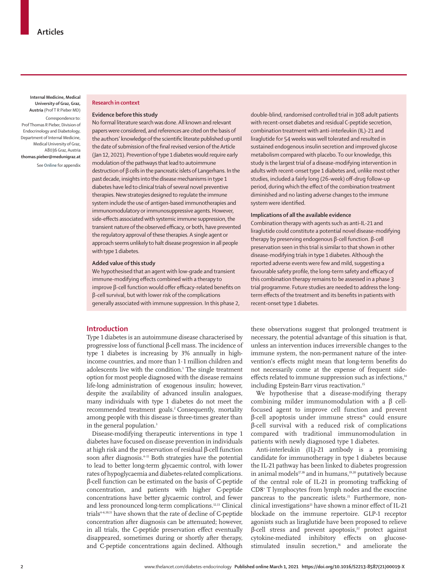**Internal Medicine, Medical University of Graz, Graz, Austria** (Prof T R Pieber MD)

Correspondence to: Prof Thomas R Pieber, Division of Endocrinology and Diabetology, Department of Internal Medicine, Medical University of Graz, A8036 Graz, Austria **thomas.pieber@medunigraz.at** See **Online** for appendix

# **Research in context**

#### **Evidence before this study**

No formal literature search was done. All known and relevant papers were considered, and references are cited on the basis of the authors' knowledge of the scientific literate published up until the date of submission of the final revised version of the Article (Jan 12, 2021). Prevention of type 1 diabetes would require early modulation of the pathways that lead to autoimmune destruction of β cells in the pancreatic islets of Langerhans. In the past decade, insights into the disease mechanisms in type 1 diabetes have led to clinical trials of several novel preventive therapies. New strategies designed to regulate the immune system include the use of antigen-based immunotherapies and immunomodulatory or immunosuppressive agents. However, side-effects associated with systemic immune suppression, the transient nature of the observed efficacy, or both, have prevented the regulatory approval of these therapies. A single agent or approach seems unlikely to halt disease progression in all people with type 1 diabetes.

#### **Added value of this study**

We hypothesised that an agent with low-grade and transient immune-modifying effects combined with a therapy to improve β-cell function would offer efficacy-related benefits on β-cell survival, but with lower risk of the complications generally associated with immune suppression. In this phase 2,

double-blind, randomised controlled trial in 308 adult patients with recent-onset diabetes and residual C-peptide secretion, combination treatment with anti-interleukin (IL)-21 and liraglutide for 54 weeks was well tolerated and resulted in sustained endogenous insulin secretion and improved glucose metabolism compared with placebo. To our knowledge, this study is the largest trial of a disease-modifying intervention in adults with recent-onset type 1 diabetes and, unlike most other studies, included a fairly long (26-week) off-drug follow-up period, during which the effect of the combination treatment diminished and no lasting adverse changes to the immune system were identified.

#### **Implications of all the available evidence**

Combination therapy with agents such as anti-IL-21 and liraglutide could constitute a potential novel disease-modifying therapy by preserving endogenous β-cell function. β-cell preservation seen in this trial is similar to that shown in other disease-modifying trials in type 1 diabetes. Although the reported adverse events were few and mild, suggesting a favourable safety profile, the long-term safety and efficacy of this combination therapy remains to be assessed in a phase 3 trial programme. Future studies are needed to address the longterm effects of the treatment and its benefits in patients with recent-onset type 1 diabetes.

# **Introduction**

Type 1 diabetes is an autoimmune disease characterised by progressive loss of functional β-cell mass. The incidence of type 1 diabetes is increasing by 3% annually in highincome countries, and more than 1·1 million children and adolescents live with the condition.<sup>1</sup> The single treatment option for most people diagnosed with the disease remains life-long administration of exogenous insulin; however, despite the availability of advanced insulin analogues, many individuals with type 1 diabetes do not meet the recommended treatment goals.<sup>2</sup> Consequently, mortality among people with this disease is three-times greater than in the general population.<sup>3</sup>

Disease-modifying therapeutic interventions in type 1 diabetes have focused on disease prevention in individuals at high risk and the preservation of residual β-cell function soon after diagnosis.<sup>4-11</sup> Both strategies have the potential to lead to better long-term glycaemic control, with lower rates of hypoglycaemia and diabetes-related complications. β-cell function can be estimated on the basis of C-peptide concentration, and patients with higher C-peptide concentrations have better glycaemic control, and fewer and less pronounced long-term complications.12,13 Clinical trials<sup>4-6,10,11</sup> have shown that the rate of decline of C-peptide concentration after diagnosis can be attenuated; however, in all trials, the C-peptide preservation effect eventually disappeared, sometimes during or shortly after therapy, and C-peptide concentrations again declined. Although these observations suggest that prolonged treatment is necessary, the potential advantage of this situation is that, unless an intervention induces irreversible changes to the immune system, the non-permanent nature of the intervention's effects might mean that long-term benefits do not necessarily come at the expense of frequent sideeffects related to immune suppression such as infections,<sup>14</sup> including Epstein-Barr virus reactivation.<sup>15</sup>

We hypothesise that a disease-modifying therapy combining milder immunomodulation with a β cellfocused agent to improve cell function and prevent β-cell apoptosis under immune stress<sup>16</sup> could ensure β-cell survival with a reduced risk of complications compared with traditional immunomodulation in patients with newly diagnosed type 1 diabetes.

Anti-interleukin (IL)-21 antibody is a promising candidate for immunotherapy in type 1 diabetes because the IL-21 pathway has been linked to diabetes progression in animal models<sup>17,18</sup> and in humans,<sup>19,20</sup> putatively because of the central role of IL-21 in promoting trafficking of CD8+ T lymphocytes from lymph nodes and the exocrine pancreas to the pancreatic islets.<sup>21</sup> Furthermore, nonclinical investigations<sup>21</sup> have shown a minor effect of IL-21 blockade on the immune repertoire. GLP-1 receptor agonists such as liraglutide have been proposed to relieve  $β$ -cell stress and prevent apoptosis,<sup>22</sup> protect against cytokine-mediated inhibitory effects on glucosestimulated insulin secretion,<sup>16</sup> and ameliorate the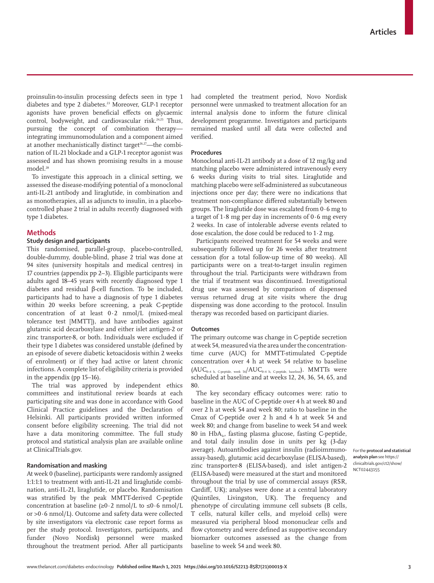proinsulin-to-insulin processing defects seen in type 1 diabetes and type 2 diabetes.<sup>23</sup> Moreover, GLP-1 receptor agonists have proven beneficial effects on glycaemic control, bodyweight, and cardiovascular risk.24,25 Thus, pursuing the concept of combination therapy integrating immunomodulation and a component aimed at another mechanistically distinct target<sup>26,27</sup>—the combination of IL-21 blockade and a GLP-1 receptor agonist was assessed and has shown promising results in a mouse model.28

To investigate this approach in a clinical setting, we assessed the disease-modifying potential of a monoclonal anti-IL-21 antibody and liraglutide, in combination and as monotherapies, all as adjuncts to insulin, in a placebocontrolled phase 2 trial in adults recently diagnosed with type 1 diabetes.

# **Methods**

# **Study design and participants**

This randomised, parallel-group, placebo-controlled, double-dummy, double-blind, phase 2 trial was done at 94 sites (university hospitals and medical centres) in 17 countries (appendix pp 2–3). Eligible participants were adults aged 18–45 years with recently diagnosed type 1 diabetes and residual β-cell function. To be included, participants had to have a diagnosis of type 1 diabetes within 20 weeks before screening, a peak C-peptide concentration of at least 0·2 nmol/L (mixed-meal tolerance test [MMTT]), and have antibodies against glutamic acid decarboxylase and either islet antigen-2 or zinc transporter-8, or both. Individuals were excluded if their type 1 diabetes was considered unstable (defined by an episode of severe diabetic ketoacidosis within 2 weeks of enrolment) or if they had active or latent chronic infections. A complete list of eligibility criteria is provided in the appendix (pp 15–16).

The trial was approved by independent ethics committees and institutional review boards at each participating site and was done in accordance with Good Clinical Practice guidelines and the Declaration of Helsinki. All participants provided written informed consent before eligibility screening. The trial did not have a data monitoring committee. The full study protocol and statistical analysis plan are available online at [ClinicalTrials.gov.](https://clinicaltrials.gov/ct2/show/NCT02443155)

# **Randomisation and masking**

At week 0 (baseline), participants were randomly assigned 1:1:1:1 to treatment with anti-IL-21 and liraglutide combination, anti-IL-21, liraglutide, or placebo. Randomisation was stratified by the peak MMTT-derived C-peptide concentration at baseline  $(\geq 0.2 \text{ nmol/L to } \leq 0.6 \text{ nmol/L})$ or >0·6 nmol/L). Outcome and safety data were collected by site investigators via electronic case report forms as per the study protocol. Investigators, participants, and funder (Novo Nordisk) personnel were masked throughout the treatment period. After all participants had completed the treatment period, Novo Nordisk personnel were unmasked to treatment allocation for an internal analysis done to inform the future clinical development programme. Investigators and participants remained masked until all data were collected and verified.

### **Procedures**

Monoclonal anti-IL-21 antibody at a dose of 12 mg/kg and matching placebo were administered intravenously every 6 weeks during visits to trial sites. Liraglutide and matching placebo were self-administered as subcutaneous injections once per day; there were no indications that treatment non-compliance differed substantially between groups. The liraglutide dose was escalated from 0·6 mg to a target of  $1.8$  mg per day in increments of  $0.6$  mg every 2 weeks. In case of intolerable adverse events related to dose escalation, the dose could be reduced to 1·2 mg.

Participants received treatment for 54 weeks and were subsequently followed up for 26 weeks after treatment cessation (for a total follow-up time of 80 weeks). All participants were on a treat-to-target insulin regimen throughout the trial. Participants were withdrawn from the trial if treatment was discontinued. Investigational drug use was assessed by comparison of dispensed versus returned drug at site visits where the drug dispensing was done according to the protocol. Insulin therapy was recorded based on participant diaries.

# **Outcomes**

The primary outcome was change in C-peptide secretion at week 54, measured via the area under the concentrationtime curve (AUC) for MMTT-stimulated C-peptide concentration over 4 h at week 54 relative to baseline  $(AUC_{_{0-4\ h,\hbox{ C-peptide, week 54}}/AUC_{_{0-4\ h,\hbox{ C-peptide, baseline}}}).\;$  MMTTs were scheduled at baseline and at weeks 12, 24, 36, 54, 65, and 80.

The key secondary efficacy outcomes were: ratio to baseline in the AUC of C-peptide over 4 h at week 80 and over 2 h at week 54 and week 80; ratio to baseline in the Cmax of C-peptide over 2 h and 4 h at week 54 and week 80; and change from baseline to week 54 and week 80 in  $HbA<sub>1</sub>$ , fasting plasma glucose, fasting C-peptide, and total daily insulin dose in units per kg (3-day average). Autoantibodies against insulin (radioimmunoassay-based), glutamic acid decarboxylase (ELISA-based), zinc transporter-8 (ELISA-based), and islet antigen-2 (ELISA-based) were measured at the start and monitored throughout the trial by use of commercial assays (RSR, Cardiff, UK); analyses were done at a central laboratory (Quintiles, Livingston, UK). The frequency and phenotype of circulating immune cell subsets (B cells, T cells, natural killer cells, and myeloid cells) were measured via peripheral blood mononuclear cells and flow cytometry and were defined as supportive secondary biomarker outcomes assessed as the change from baseline to week 54 and week 80.

For the **protocol and statistical analysis plan** see [https://](https://clinicaltrials.gov/ct2/show/NCT02443155) [clinicaltrials.gov/ct2/show/](https://clinicaltrials.gov/ct2/show/NCT02443155) [NCT02443155](https://clinicaltrials.gov/ct2/show/NCT02443155)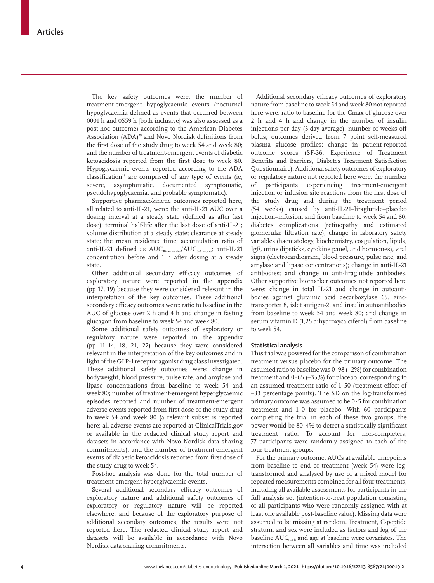The key safety outcomes were: the number of treatment-emergent hypoglycaemic events (nocturnal hypoglycaemia defined as events that occurred between 0001 h and 0559 h [both inclusive] was also assessed as a post-hoc outcome) according to the American Diabetes Association (ADA)<sup>29</sup> and Novo Nordisk definitions from the first dose of the study drug to week 54 and week 80; and the number of treatment-emergent events of diabetic ketoacidosis reported from the first dose to week 80. Hypoglycaemic events reported according to the ADA  $classification<sup>29</sup>$  are comprised of any type of events (ie, severe, asymptomatic, documented symptomatic, pseudohypoglycaemia, and probable symptomatic).

Supportive pharmacokinetic outcomes reported here, all related to anti-IL-21, were: the anti-IL-21 AUC over a dosing interval at a steady state (defined as after last dose); terminal half-life after the last dose of anti-IL-21; volume distribution at a steady state; clearance at steady state; the mean residence time; accumulation ratio of anti-IL-21 defined as  $\mathrm{AUC}_{\text{\tiny 48-54 weeks}}/\mathrm{AUC}_{\text{\tiny 0-6 weeks}}$ ; anti-IL-21 concentration before and 1 h after dosing at a steady state.

Other additional secondary efficacy outcomes of exploratory nature were reported in the appendix (pp 17, 19) because they were considered relevant in the interpretation of the key outcomes. These additional secondary efficacy outcomes were: ratio to baseline in the AUC of glucose over 2 h and 4 h and change in fasting glucagon from baseline to week 54 and week 80.

Some additional safety outcomes of exploratory or regulatory nature were reported in the appendix (pp 11–14, 18, 21, 22) because they were considered relevant in the interpretation of the key outcomes and in light of the GLP-1 receptor agonist drug class investigated. These additional safety outcomes were: change in bodyweight, blood pressure, pulse rate, and amylase and lipase concentrations from baseline to week 54 and week 80; number of treatment-emergent hyperglycaemic episodes reported and number of treatment-emergent adverse events reported from first dose of the study drug to week 54 and week 80 (a relevant subset is reported here; all adverse events are reported at ClinicalTrials.gov or available in the redacted clinical study report and datasets in accordance with Novo Nordisk data sharing commitments); and the number of treatment-emergent events of diabetic ketoacidosis reported from first dose of the study drug to week 54.

Post-hoc analysis was done for the total number of treatment-emergent hyperglycaemic events.

Several additional secondary efficacy outcomes of exploratory nature and additional safety outcomes of exploratory or regulatory nature will be reported elsewhere, and because of the exploratory purpose of additional secondary outcomes, the results were not reported here. The redacted clinical study report and datasets will be available in accordance with Novo Nordisk data sharing commitments.

Additional secondary efficacy outcomes of exploratory nature from baseline to week 54 and week 80 not reported here were: ratio to baseline for the Cmax of glucose over 2 h and 4 h and change in the number of insulin injections per day (3-day average); number of weeks off bolus; outcomes derived from 7 point self-measured plasma glucose profiles; change in patient-reported outcome scores (SF-36, Experience of Treatment Benefits and Barriers, Diabetes Treatment Satisfaction Questionnaire). Additional safety outcomes of exploratory or regulatory nature not reported here were: the number of participants experiencing treatment-emergent injection or infusion site reactions from the first dose of the study drug and during the treatment period (54 weeks) caused by anti-IL-21–liraglutide–placebo injection–infusion; and from baseline to week 54 and 80: diabetes complications (retinopathy and estimated glomerular filtration rate); change in laboratory safety variables (haematology, biochemistry, coagulation, lipids, IgE, urine dipsticks, cytokine panel, and hormones), vital signs (electrocardiogram, blood pressure, pulse rate, and amylase and lipase concentrations); change in anti-IL-21 antibodies; and change in anti-liraglutide antibodies. Other supportive biomarker outcomes not reported here were: change in total IL-21 and change in autoantibodies against glutamic acid decarboxylase 65, zinctransporter 8, islet antigen-2, and insulin autoantibodies from baseline to week 54 and week 80; and change in serum vitamin D (1,25 dihydroxycalciferol) from baseline to week 54.

#### **Statistical analysis**

This trial was powered for the comparison of combination treatment versus placebo for the primary outcome. The assumed ratio to baseline was  $0.98$  (-2%) for combination treatment and 0·65 (–35%) for placebo, corresponding to an assumed treatment ratio of 1·50 (treatment effect of –33 percentage points). The SD on the log-transformed primary outcome was assumed to be 0·5 for combination treatment and 1·0 for placebo. With 60 participants completing the trial in each of these two groups, the power would be 80·4% to detect a statistically significant treatment ratio. To account for non-completers, 77 participants were randomly assigned to each of the four treatment groups.

For the primary outcome, AUCs at available timepoints from baseline to end of treatment (week 54) were logtransformed and analysed by use of a mixed model for repeated measurements combined for all four treatments, including all available assessments for participants in the full analysis set (intention-to-treat population consisting of all participants who were randomly assigned with at least one available post-baseline value). Missing data were assumed to be missing at random. Treatment, C-peptide stratum, and sex were included as factors and log of the baseline  $AUC_{0,4}$  and age at baseline were covariates. The interaction between all variables and time was included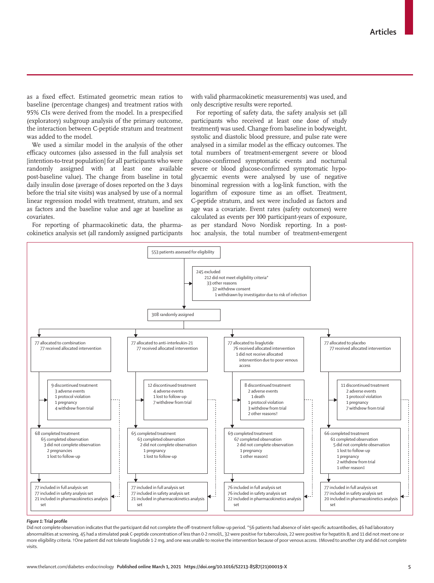as a fixed effect. Estimated geometric mean ratios to baseline (percentage changes) and treatment ratios with 95% CIs were derived from the model. In a prespecified (exploratory) subgroup analysis of the primary outcome, the interaction between C-peptide stratum and treatment was added to the model.

We used a similar model in the analysis of the other efficacy outcomes (also assessed in the full analysis set [intention-to-treat population] for all participants who were randomly assigned with at least one available post-baseline value). The change from baseline in total daily insulin dose (average of doses reported on the 3 days before the trial site visits) was analysed by use of a normal linear regression model with treatment, stratum, and sex as factors and the baseline value and age at baseline as covariates.

For reporting of pharmacokinetic data, the pharmacokinetics analysis set (all randomly assigned participants with valid pharmacokinetic measurements) was used, and only descriptive results were reported.

For reporting of safety data, the safety analysis set (all participants who received at least one dose of study treatment) was used. Change from baseline in bodyweight, systolic and diastolic blood pressure, and pulse rate were analysed in a similar model as the efficacy outcomes. The total numbers of treatment-emergent severe or blood glucose-confirmed symptomatic events and nocturnal severe or blood glucose-confirmed symptomatic hypoglycaemic events were analysed by use of negative binominal regression with a log-link function, with the logarithm of exposure time as an offset. Treatment, C-peptide stratum, and sex were included as factors and age was a covariate. Event rates (safety outcomes) were calculated as events per 100 participant-years of exposure, as per standard Novo Nordisk reporting. In a posthoc analysis, the total number of treatment-emergent



### *Figure 1:* **Trial profile**

Did not complete observation indicates that the participant did not complete the off-treatment follow-up period. \*56 patients had absence of islet-specific autoantibodies, 46 had laboratory abnormalities at screening, 45 had a stimulated peak C-peptide concentration of less than 0-2 nmol/L, 32 were positive for tuberculosis, 22 were positive for hepatitis B, and 11 did not meet one or more eligibility criteria. †One patient did not tolerate liraglutide 1·2 mg, and one was unable to receive the intervention because of poor venous access. ‡Moved to another city and did not complete visits.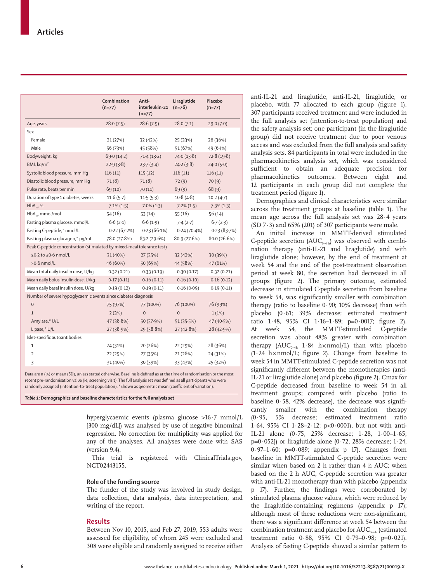|                                                                        | Combination<br>$(n=77)$ | Anti-<br>interleukin-21<br>$(n=77)$ | Liraglutide<br>$(n=76)$ | Placebo<br>$(n=77)$ |  |  |  |  |  |  |
|------------------------------------------------------------------------|-------------------------|-------------------------------------|-------------------------|---------------------|--|--|--|--|--|--|
| Age, years                                                             | 28.0(7.5)               | 28.6(7.9)                           | 28.0(7.1)               | 29.0(7.0)           |  |  |  |  |  |  |
| Sex                                                                    |                         |                                     |                         |                     |  |  |  |  |  |  |
| Female                                                                 | 21 (27%)                | 32 (42%)                            | 25 (33%)                | 28 (36%)            |  |  |  |  |  |  |
| Male                                                                   | 56 (73%)                | 45 (58%)                            | 51 (67%)                | 49 (64%)            |  |  |  |  |  |  |
| Bodyweight, kg                                                         | 69.0(14.2)              | 71.4(13.2)                          | 74.0(13.8)              | 72.8(19.8)          |  |  |  |  |  |  |
| BMI, kg/m <sup>2</sup>                                                 | 22.9(3.8)               | 23.7(3.4)                           | 24.2(3.8)               | 24.0(5.0)           |  |  |  |  |  |  |
| Systolic blood pressure, mm Hq                                         | 116(11)                 | 115(12)                             | 116(11)                 | 116(11)             |  |  |  |  |  |  |
| Diastolic blood pressure, mm Hq                                        | 71(8)                   | 71(8)                               | 72(9)                   | 70(9)               |  |  |  |  |  |  |
| Pulse rate, beats per min                                              | 69(10)                  | 70(11)                              | 69(9)                   | 68(9)               |  |  |  |  |  |  |
| Duration of type 1 diabetes, weeks                                     | 11.6(5.7)               | 11.5(5.3)                           | 10.8(4.8)               | 10.2(4.7)           |  |  |  |  |  |  |
| $HbA_{1}$ %                                                            | $7.1\%$ (1.5)           | $7.0\%$ (1.3)                       | $7.2\% (1.5)$           | $7.3\%$ $(1.3)$     |  |  |  |  |  |  |
| HbA <sub>14</sub> mmol/mol                                             | 54(16)                  | 53(14)                              | 55(16)                  | 56(14)              |  |  |  |  |  |  |
| Fasting plasma glucose, mmol/L                                         | 6.6(2.1)                | 6.6(1.9)                            | 7.4(2.7)                | 6.7(2.3)            |  |  |  |  |  |  |
| Fasting C-peptide,* nmol/L                                             | 0.22(67.2%)             | 0.23(66.1%)                         | 0.24(70.4%)             | 0.23(83.7%)         |  |  |  |  |  |  |
| Fasting plasma glucagon,* pg/mL                                        | 78.0 (27.8%)            | 83.2(29.6%)                         | 80.9(27.6%)             | 80.0(26.6%)         |  |  |  |  |  |  |
| Peak C-peptide concentration (stimulated by mixed-meal tolerance test) |                         |                                     |                         |                     |  |  |  |  |  |  |
| $\geq$ 0.2 to $\leq$ 0.6 nmol/L                                        | 31 (40%)                | 27 (35%)                            | 32 (42%)                | 30 (39%)            |  |  |  |  |  |  |
| $>0.6$ nmol/L                                                          | 46 (60%)                | 50 (65%)                            | 44 (58%)                | 47 (61%)            |  |  |  |  |  |  |
| Mean total daily insulin dose, U/kg                                    | 0.32(0.21)              | 0.33(0.19)                          | 0.30(0.17)              | 0.32(0.21)          |  |  |  |  |  |  |
| Mean daily bolus insulin dose, U/kg                                    | 0.17(0.11)              | 0.16(0.11)                          | 0.16(0.10)              | 0.16(0.12)          |  |  |  |  |  |  |
| Mean daily basal insulin dose, U/kg                                    | 0.19(0.12)              | 0.19(0.11)                          | 0.16(0.09)              | 0.19(0.11)          |  |  |  |  |  |  |
| Number of severe hypoglycaemic events since diabetes diagnosis         |                         |                                     |                         |                     |  |  |  |  |  |  |
| $\mathbf 0$                                                            | 75 (97%)                | 77 (100%)                           | 76 (100%)               | 76 (99%)            |  |  |  |  |  |  |
| $\mathbf{1}$                                                           | 2(3%)                   | $\overline{0}$                      | $\mathbf{0}$            | 1(1%)               |  |  |  |  |  |  |
| Amylase,* U/L                                                          | 47 (38.8%)              | 50 (37.9%)                          | 51 (35.5%)              | 47 (40.5%)          |  |  |  |  |  |  |
| Lipase,* U/L                                                           | 27 (38.9%)              | 29 (38.8%)                          | 27(42.8%)               | 28 (42.9%)          |  |  |  |  |  |  |
| Islet-specific autoantibodies                                          |                         |                                     |                         |                     |  |  |  |  |  |  |
| $\mathbf{1}$                                                           | 24 (31%)                | 20 (26%)                            | 22 (29%)                | 28 (36%)            |  |  |  |  |  |  |
| $\overline{2}$                                                         | 22 (29%)                | 27 (35%)                            | 21 (28%)                | 24 (31%)            |  |  |  |  |  |  |
| 3                                                                      | 31 (40%)                | 30 (39%)                            | 33 (43%)                | 25 (32%)            |  |  |  |  |  |  |
|                                                                        |                         |                                     |                         |                     |  |  |  |  |  |  |

Data are n (%) or mean (SD), unless stated otherwise. Baseline is defined as at the time of randomisation or the most recent pre-randomisation value (ie, screening visit). The full analysis set was defined as all participants who were randomly assigned (intention-to-treat population). \*Shown as geometric mean (coefficient of variation).

*Table 1:* **Demographics and baseline characteristics for the full analysis set**

hyperglycaemic events (plasma glucose >16·7 mmol/L [300 mg/dL]) was analysed by use of negative binominal regression. No correction for multiplicity was applied for any of the analyses. All analyses were done with SAS (version 9.4).

This trial is registered with ClinicalTrials.gov, NCT02443155.

#### **Role of the funding source**

The funder of the study was involved in study design, data collection, data analysis, data interpretation, and writing of the report.

# **Results**

Between Nov 10, 2015, and Feb 27, 2019, 553 adults were assessed for eligibility, of whom 245 were excluded and 308 were eligible and randomly assigned to receive either anti-IL-21 and liraglutide, anti-IL-21, liraglutide, or placebo, with 77 allocated to each group (figure 1). 307 participants received treatment and were included in the full analysis set (intention-to-treat population) and the safety analysis set; one participant (in the liraglutide group) did not receive treatment due to poor venous access and was excluded from the full analysis and safety analysis sets. 84 participants in total were included in the pharmacokinetics analysis set, which was considered sufficient to obtain an adequate precision for pharmacokinetics outcomes. Between eight and 12 participants in each group did not complete the treatment period (figure 1).

Demographics and clinical characteristics were similar across the treatment groups at baseline (table 1). The mean age across the full analysis set was 28·4 years  $(SD 7.3)$  and 65% (201) of 307 participants were male.

An initial increase in MMTT-derived stimulated C-peptide secretion  $(AUC_{0-4h})$  was observed with combination therapy (anti-IL-21 and liraglutide) and with liraglutide alone; however, by the end of treatment at week 54 and the end of the post-treatment observation period at week 80, the secretion had decreased in all groups (figure 2). The primary outcome, estimated decrease in stimulated C-peptide secretion from baseline to week 54, was significantly smaller with combination therapy (ratio to baseline 0·90; 10% decrease) than with placebo (0·61; 39% decrease; estimated treatment ratio 1·48, 95% CI 1·16–1·89; p=0·0017; figure 2). At week 54, the MMTT-stimulated C-peptide secretion was about 48% greater with combination therapy  $(AUC_{0,4h} 1.84 h\times nmol/L)$  than with placebo (1·24 h×nmol/L; figure 2). Change from baseline to week 54 in MMTT-stimulated C-peptide secretion was not significantly different between the monotherapies (anti-IL-21 or liraglutide alone) and placebo (figure 2). Cmax for C-peptide decreased from baseline to week 54 in all treatment groups; compared with placebo (ratio to baseline 0·58, 42% decrease), the decrease was significantly smaller with the combination therapy (0·95, 5% decrease; estimated treatment ratio 1·64, 95% CI 1·28–2·12; p<0·0001), but not with anti-IL-21 alone (0·75, 25% decrease; 1·28, 1·00–1·65;  $p=0.052$ ]) or liraglutide alone (0.72, 28% decrease; 1.24, 0.97-1.60;  $p=0.089$ ; appendix p 17). Changes from baseline in MMTT-stimulated C-peptide secretion were similar when based on 2 h rather than 4 h AUC; when based on the 2 h AUC, C-peptide secretion was greater with anti-IL-21 monotherapy than with placebo (appendix p 17). Further, the findings were corroborated by stimulated plasma glucose values, which were reduced by the liraglutide-containing regimens (appendix p 17); although most of these reductions were non-significant, there was a significant difference at week 54 between the combination treatment and placebo for  $AUC_{0-4h}$  (estimated treatment ratio 0·88, 95% CI 0·79–0·98; p=0·021). Analysis of fasting C-peptide showed a similar pattern to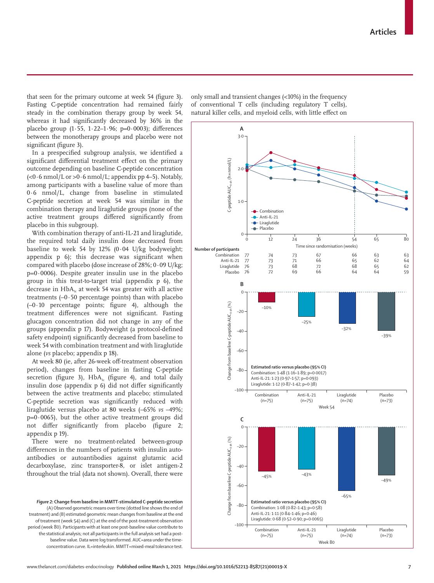that seen for the primary outcome at week 54 (figure 3). Fasting C-peptide concentration had remained fairly steady in the combination therapy group by week 54, whereas it had significantly decreased by 36% in the placebo group (1∙55, 1∙22–1∙96; p=0·0003); differences between the monotherapy groups and placebo were not significant (figure 3).

In a prespecified subgroup analysis, we identified a significant differential treatment effect on the primary outcome depending on baseline C-peptide concentration (<0∙6 nmol/L or >0∙6 nmol/L; appendix pp 4–5). Notably, among participants with a baseline value of more than 0·6 nmol/L, change from baseline in stimulated C-peptide secretion at week 54 was similar in the combination therapy and liraglutide groups (none of the active treatment groups differed significantly from placebo in this subgroup).

With combination therapy of anti-IL-21 and liraglutide, the required total daily insulin dose decreased from baseline to week 54 by 12% (0·04 U/kg bodyweight; appendix p 6); this decrease was significant when compared with placebo (dose increase of 28%; 0·09 U/kg;  $p=0.0006$ ). Despite greater insulin use in the placebo group in this treat-to-target trial (appendix p 6), the decrease in  $HbA<sub>i</sub>$  at week 54 was greater with all active treatments  $(-0.50$  percentage points) than with placebo  $(-0.10)$  percentage points; figure 4), although the treatment differences were not significant. Fasting glucagon concentration did not change in any of the groups (appendix p 17). Bodyweight (a protocol-defined safety endpoint) significantly decreased from baseline to week 54 with combination treatment and with liraglutide alone (*vs* placebo; appendix p 18).

At week 80 (ie, after 26-week off-treatment observation period), changes from baseline in fasting C-peptide secretion (figure 3),  $HbA_{1c}$  (figure 4), and total daily insulin dose (appendix p 6) did not differ significantly between the active treatments and placebo; stimulated C-peptide secretion was significantly reduced with liraglutide versus placebo at 80 weeks (–65% *vs* –49%;  $p=0.0065$ ), but the other active treatment groups did not differ significantly from placebo (figure 2; appendix p 19).

There were no treatment-related between-group differences in the numbers of patients with insulin autoantibodies or autoantibodies against glutamic acid decarboxylase, zinc transporter-8, or islet antigen-2 throughout the trial (data not shown). Overall, there were

*Figure 2:* **Change from baseline in MMTT-stimulated C-peptide secretion** (A) Observed geometric means over time (dotted line shows the end of treatment) and (B) estimated geometric mean changes from baseline at the end of treatment (week 54) and (C) at the end of the post-treatment observation period (week 80). Participants with at least one post-baseline value contribute to the statistical analysis; not all participants in the full analysis set had a postbaseline value. Data were log transformed. AUC=area under the timeconcentration curve. IL=interleukin. MMTT=mixed-meal tolerance test.

only small and transient changes (<10%) in the frequency of conventional T cells (including regulatory T cells), natural killer cells, and myeloid cells, with little effect on

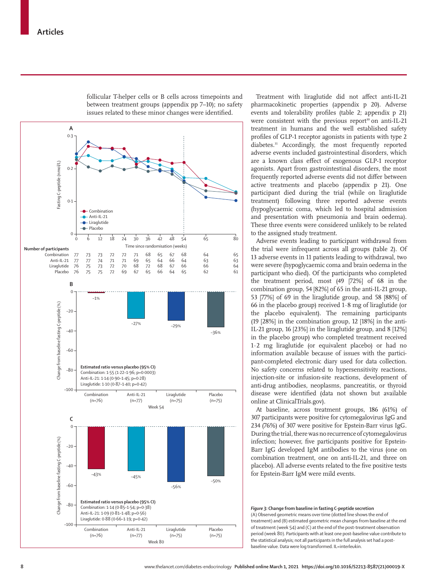

follicular T-helper cells or B cells across timepoints and between treatment groups (appendix pp 7–10); no safety issues related to these minor changes were identified.

Treatment with liraglutide did not affect anti-IL-21 pharmacokinetic properties (appendix p 20). Adverse events and tolerability profiles (table 2; appendix p 21) were consistent with the previous report $30$  on anti-IL-21 treatment in humans and the well established safety profiles of GLP-1 receptor agonists in patients with type 2 diabetes.<sup>31</sup> Accordingly, the most frequently reported adverse events included gastrointestinal disorders, which are a known class effect of exogenous GLP-1 receptor agonists. Apart from gastrointestinal disorders, the most frequently reported adverse events did not differ between active treatments and placebo (appendix p 21). One participant died during the trial (while on liraglutide treatment) following three reported adverse events (hypoglycaemic coma, which led to hospital admission and presentation with pneumonia and brain oedema). These three events were considered unlikely to be related to the assigned study treatment.

Adverse events leading to participant withdrawal from the trial were infrequent across all groups (table 2). Of 13 adverse events in 11 patients leading to withdrawal, two were severe (hypoglycaemic coma and brain oedema in the participant who died). Of the participants who completed the treatment period, most (49 [72%] of 68 in the combination group, 54 [82%] of 65 in the anti-IL-21 group, 53 [77%] of 69 in the liraglutide group, and 58 [88%] of 66 in the placebo group) received 1·8 mg of liraglutide (or the placebo equivalent). The remaining participants (19 [28%] in the combination group, 12 [18%] in the anti-IL-21 group, 16 [23%] in the liraglutide group, and 8 [12%] in the placebo group) who completed treatment received 1·2 mg liraglutide (or equivalent placebo) or had no information available because of issues with the participant-completed electronic diary used for data collection. No safety concerns related to hypersensitivity reactions, injection-site or infusion-site reactions, development of anti-drug antibodies, neoplasms, pancreatitis, or thyroid disease were identified (data not shown but available online at ClinicalTrials.gov).

At baseline, across treatment groups, 186 (61%) of 307 participants were positive for cytomegalovirus IgG and 234 (76%) of 307 were positive for Epstein-Barr virus IgG. During the trial, there was no recurrence of cytomegalovirus infection; however, five participants positive for Epstein-Barr IgG developed IgM antibodies to the virus (one on combination treatment, one on anti-IL-21, and three on placebo). All adverse events related to the five positive tests for Epstein-Barr IgM were mild events.

*Figure 3:* **Change from baseline in fasting C-peptide secretion** (A) Observed geometric means over time (dotted line shows the end of treatment) and (B) estimated geometric mean changes from baseline at the end of treatment (week 54) and (C) at the end of the post-treatment observation period (week 80). Participants with at least one post-baseline value contribute to the statistical analysis; not all participants in the full analysis set had a postbaseline value. Data were log transformed. IL=interleukin.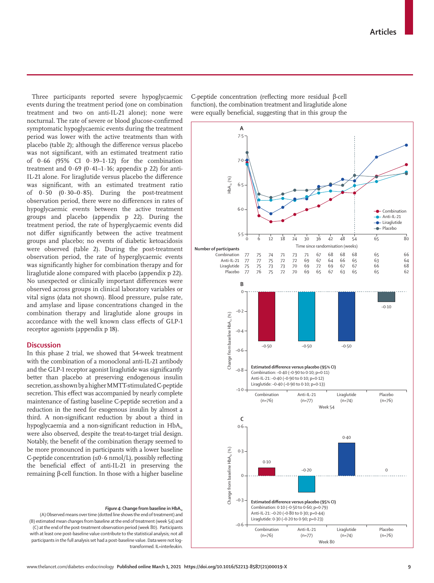Three participants reported severe hypoglycaemic events during the treatment period (one on combination treatment and two on anti-IL-21 alone); none were nocturnal. The rate of severe or blood glucose-confirmed symptomatic hypoglycaemic events during the treatment period was lower with the active treatments than with placebo (table 2); although the difference versus placebo was not significant, with an estimated treatment ratio of 0·66 (95% CI 0·39–1·12) for the combination treatment and  $0.69$  ( $0.41-1.16$ ; appendix p 22) for anti-IL-21 alone. For liraglutide versus placebo the difference was significant, with an estimated treatment ratio of 0·50 (0·30–0·85). During the post-treatment observation period, there were no differences in rates of hypoglycaemic events between the active treatment groups and placebo (appendix p 22). During the treatment period, the rate of hyperglycaemic events did not differ significantly between the active treatment groups and placebo; no events of diabetic ketoacidosis were observed (table 2). During the post-treatment observation period, the rate of hyperglycaemic events was significantly higher for combination therapy and for liraglutide alone compared with placebo (appendix p 22). No unexpected or clinically important differences were observed across groups in clinical laboratory variables or vital signs (data not shown). Blood pressure, pulse rate, and amylase and lipase concentrations changed in the combination therapy and liraglutide alone groups in accordance with the well known class effects of GLP-1 receptor agonists (appendix p 18).

# **Discussion**

In this phase 2 trial, we showed that 54-week treatment with the combination of a monoclonal anti-IL-21 antibody and the GLP-1 receptor agonist liraglutide was significantly better than placebo at preserving endogenous insulin secretion, as shown by a higher MMTT-stimulated C-peptide secretion. This effect was accompanied by nearly complete maintenance of fasting baseline C-peptide secretion and a reduction in the need for exogenous insulin by almost a third. A non-significant reduction by about a third in hypoglycaemia and a non-significant reduction in  $HbA<sub>c</sub>$ were also observed, despite the treat-to-target trial design. Notably, the benefit of the combination therapy seemed to be more pronounced in participants with a lower baseline C-peptide concentration (≤0·6 nmol/L), possibly reflecting the beneficial effect of anti-IL-21 in preserving the remaining β-cell function. In those with a higher baseline

#### *Figure 4:* Change from baseline in HbA<sub>1</sub>

(A) Observed means over time (dotted line shows the end of treatment) and (B) estimated mean changes from baseline at the end of treatment (week 54) and (C) at the end of the post-treatment observation period (week 80). Participants with at least one post-baseline value contribute to the statistical analysis; not all participants in the full analysis set had a post-baseline value. Data were not logtransformed. IL=interleukin.

C-peptide concentration (reflecting more residual β-cell function), the combination treatment and liraglutide alone were equally beneficial, suggesting that in this group the

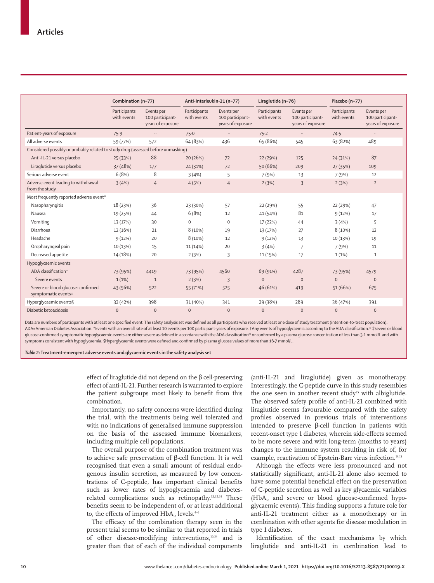|                                                                                   | Combination (n=77)          |                                                     | Anti-interleukin-21 (n=77)  |                                                     | Liraglutide (n=76)          |                                                     | Placebo (n=77)              |                                                     |  |  |
|-----------------------------------------------------------------------------------|-----------------------------|-----------------------------------------------------|-----------------------------|-----------------------------------------------------|-----------------------------|-----------------------------------------------------|-----------------------------|-----------------------------------------------------|--|--|
|                                                                                   | Participants<br>with events | Events per<br>100 participant-<br>years of exposure | Participants<br>with events | Events per<br>100 participant-<br>years of exposure | Participants<br>with events | Events per<br>100 participant-<br>years of exposure | Participants<br>with events | Events per<br>100 participant-<br>years of exposure |  |  |
| Patient-years of exposure                                                         | 75.9                        | $\ddots$                                            | 75.0                        | $\ldots$                                            | 75.2                        | $\ldots$                                            | 74.5                        | $\ldots$                                            |  |  |
| All adverse events                                                                | 59 (77%)                    | 572                                                 | 64 (83%)                    | 436                                                 | 65 (86%)                    | 545                                                 | 63 (82%)                    | 489                                                 |  |  |
| Considered possibly or probably related to study drug (assessed before unmasking) |                             |                                                     |                             |                                                     |                             |                                                     |                             |                                                     |  |  |
| Anti-IL-21 versus placebo                                                         | 25 (33%)                    | 88                                                  | 20 (26%)                    | 72                                                  | 22 (29%)                    | 125                                                 | 24 (31%)                    | 87                                                  |  |  |
| Liraqlutide versus placebo                                                        | 37 (48%)                    | 177                                                 | 24 (31%)                    | 72                                                  | 50 (66%)                    | 209                                                 | 27 (35%)                    | 109                                                 |  |  |
| Serious adverse event                                                             | 6(8%)                       | 8                                                   | 3(4%)                       | 5                                                   | 7 (9%)                      | 13                                                  | 7(9%)                       | 12                                                  |  |  |
| Adverse event leading to withdrawal<br>from the study                             | 3(4%)                       | $\overline{4}$                                      | 4(5%)                       | $\overline{4}$                                      | 2(3%)                       | 3                                                   | 2(3%)                       | $\overline{2}$                                      |  |  |
| Most frequently reported adverse event*                                           |                             |                                                     |                             |                                                     |                             |                                                     |                             |                                                     |  |  |
| Nasopharyngitis                                                                   | 18 (23%)                    | 36                                                  | 23 (30%)                    | 57                                                  | 22 (29%)                    | 55                                                  | 22 (29%)                    | 47                                                  |  |  |
| Nausea                                                                            | 19 (25%)                    | 44                                                  | 6(8%)                       | 12                                                  | 41 (54%)                    | 81                                                  | 9(12%)                      | 17                                                  |  |  |
| Vomiting                                                                          | 13 (17%)                    | 30                                                  | 0                           | $\boldsymbol{0}$                                    | 17 (22%)                    | 44                                                  | 3(4%)                       | 5                                                   |  |  |
| Diarrhoea                                                                         | 12 (16%)                    | 21                                                  | 8 (10%)                     | 19                                                  | 13 (17%)                    | 27                                                  | 8 (10%)                     | 12                                                  |  |  |
| Headache                                                                          | 9(12%)                      | 20                                                  | 8 (10%)                     | 12                                                  | 9(12%)                      | 13                                                  | 10 (13%)                    | 19                                                  |  |  |
| Oropharyngeal pain                                                                | 10 (13%)                    | 15                                                  | 11 (14%)                    | 20                                                  | 3(4%)                       | $\overline{7}$                                      | 7(9%)                       | 11                                                  |  |  |
| Decreased appetite                                                                | 14 (18%)                    | 20                                                  | 2(3%)                       | 3                                                   | 11 (15%)                    | 17                                                  | 1(1%)                       | 1                                                   |  |  |
| Hypoglycaemic events                                                              |                             |                                                     |                             |                                                     |                             |                                                     |                             |                                                     |  |  |
| ADA classification+                                                               | 73 (95%)                    | 4419                                                | 73 (95%)                    | 4560                                                | 69 (91%)                    | 4287                                                | 73 (95%)                    | 4579                                                |  |  |
| Severe events                                                                     | 1(1%)                       | $\mathbf{1}$                                        | 2(3%)                       | $\overline{3}$                                      | $\mathbf{0}$                | $\mathbf{0}$                                        | $\mathbf{0}$                | $\overline{0}$                                      |  |  |
| Severe or blood glucose-confirmed<br>symptomatic events‡                          | 43 (56%)                    | 522                                                 | 55 (71%)                    | 525                                                 | 46 (61%)                    | 419                                                 | 51 (66%)                    | 675                                                 |  |  |
| Hyperglycaemic events§                                                            | 32 (42%)                    | 398                                                 | 31 (40%)                    | 341                                                 | 29 (38%)                    | 289                                                 | 36 (47%)                    | 391                                                 |  |  |
| Diabetic ketoacidosis                                                             | $\mathbf{0}$                | $\overline{0}$                                      | $\mathbf{0}$                | $\mathbf{0}$                                        | $\mathbf{0}$                | $\mathbf 0$                                         | $\mathbf{0}$                | $\mathbf{0}$                                        |  |  |

Data are numbers of participants with at least one specified event. The safety analysis set was defined as all participants who received at least one dose of study treatment (intention-to-treat population). ADA=American Diabetes Association. \*Events with an overall rate of at least 10 events per 100 participant-years of exposure. †Any events of hypoglycaemia according to the ADA classification.<sup>39</sup> ‡Severe or blood glucose-confirmed symptomatic hypoglycaemic events are either severe as defined in accordance with the ADA classification<sup>29</sup> or confirmed by a plasma glucose concentration of less than 3·1 mmol/L and with symptoms consistent with hypoglycaemia. §Hyperglycaemic events were defined and confirmed by plasma glucose values of more than 16·7 mmol/L.

*Table 2:* **Treatment-emergent adverse events and glycaemic events in the safety analysis set**

effect of liraglutide did not depend on the β cell-preserving effect of anti-IL-21. Further research is warranted to explore the patient subgroups most likely to benefit from this combination.

Importantly, no safety concerns were identified during the trial, with the treatments being well tolerated and with no indications of generalised immune suppression on the basis of the assessed immune biomarkers, including multiple cell populations.

The overall purpose of the combination treatment was to achieve safe preservation of β-cell function. It is well recognised that even a small amount of residual endogenous insulin secretion, as measured by low concentrations of C-peptide, has important clinical benefits such as lower rates of hypoglycaemia and diabetesrelated complications such as retinopathy.12,32,33 These benefits seem to be independent of, or at least additional to, the effects of improved  $HbA_1$ <sub>c</sub> levels.<sup>4-6</sup>

The efficacy of the combination therapy seen in the present trial seems to be similar to that reported in trials of other disease-modifying interventions,<sup>10,34</sup> and is greater than that of each of the individual components (anti-IL-21 and liraglutide) given as monotherapy. Interestingly, the C-peptide curve in this study resembles the one seen in another recent study<sup>35</sup> with albiglutide. The observed safety profile of anti-IL-21 combined with liraglutide seems favourable compared with the safety profiles observed in previous trials of interventions intended to preserve β-cell function in patients with recent-onset type 1 diabetes, wherein side-effects seemed to be more severe and with long-term (months to years) changes to the immune system resulting in risk of, for example, reactivation of Epstein-Barr virus infection.<sup>14,15</sup>

Although the effects were less pronounced and not statistically significant, anti-IL-21 alone also seemed to have some potential beneficial effect on the preservation of C-peptide secretion as well as key glycaemic variables  $(HbA<sub>i</sub>$  and severe or blood glucose-confirmed hypoglycaemic events). This finding supports a future role for anti-IL-21 treatment either as a monotherapy or in combination with other agents for disease modulation in type 1 diabetes.

Identification of the exact mechanisms by which liraglutide and anti-IL-21 in combination lead to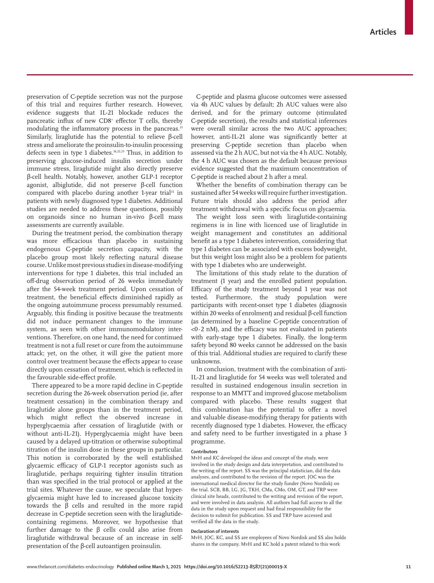preservation of C-peptide secretion was not the purpose of this trial and requires further research. However, evidence suggests that IL-21 blockade reduces the pancreatic influx of new CD8+ effector T cells, thereby modulating the inflammatory process in the pancreas.<sup>21</sup> Similarly, liraglutide has the potential to relieve β-cell stress and ameliorate the proinsulin-to-insulin processing defects seen in type 1 diabetes.<sup>16,22,23</sup> Thus, in addition to preserving glucose-induced insulin secretion under immune stress, liraglutide might also directly preserve β-cell health. Notably, however, another GLP-1 receptor agonist, albiglutide, did not preserve β-cell function compared with placebo during another 1-year trial<sup>35</sup> in patients with newly diagnosed type 1 diabetes. Additional studies are needed to address these questions, possibly on organoids since no human in-vivo β-cell mass assessments are currently available.

During the treatment period, the combination therapy was more efficacious than placebo in sustaining endogenous C-peptide secretion capacity, with the placebo group most likely reflecting natural disease course. Unlike most previous studies in disease-modifying interventions for type 1 diabetes, this trial included an off-drug observation period of 26 weeks immediately after the 54-week treatment period. Upon cessation of treatment, the beneficial effects diminished rapidly as the ongoing autoimmune process presumably resumed. Arguably, this finding is positive because the treatments did not induce permanent changes to the immune system, as seen with other immunomodulatory interventions. Therefore, on one hand, the need for continued treatment is not a full reset or cure from the autoimmune attack; yet, on the other, it will give the patient more control over treatment because the effects appear to cease directly upon cessation of treatment, which is reflected in the favourable side-effect profile.

There appeared to be a more rapid decline in C-peptide secretion during the 26-week observation period (ie, after treatment cessation) in the combination therapy and liraglutide alone groups than in the treatment period, which might reflect the observed increase in hyperglycaemia after cessation of liraglutide (with or without anti-IL-21). Hyperglycaemia might have been caused by a delayed up-titration or otherwise suboptimal titration of the insulin dose in these groups in particular. This notion is corroborated by the well established glycaemic efficacy of GLP-1 receptor agonists such as liraglutide, perhaps requiring tighter insulin titration than was specified in the trial protocol or applied at the trial sites. Whatever the cause, we speculate that hyperglycaemia might have led to increased glucose toxicity towards the β cells and resulted in the more rapid decrease in C-peptide secretion seen with the liraglutidecontaining regimens. Moreover, we hypothesise that further damage to the β cells could also arise from liraglutide withdrawal because of an increase in selfpresentation of the β-cell autoantigen proinsulin.

C-peptide and plasma glucose outcomes were assessed via 4h AUC values by default; 2h AUC values were also derived, and for the primary outcome (stimulated C-peptide secretion), the results and statistical inferences were overall similar across the two AUC approaches; however, anti-IL-21 alone was significantly better at preserving C-peptide secretion than placebo when assessed via the 2 h AUC, but not via the 4 h AUC. Notably, the 4 h AUC was chosen as the default because previous evidence suggested that the maximum concentration of C-peptide is reached about 2 h after a meal.

Whether the benefits of combination therapy can be sustained after 54 weeks will require further investigation. Future trials should also address the period after treatment withdrawal with a specific focus on glycaemia.

The weight loss seen with liraglutide-containing regimens is in line with licenced use of liraglutide in weight management and constitutes an additional benefit as a type 1 diabetes intervention, considering that type 1 diabetes can be associated with excess bodyweight, but this weight loss might also be a problem for patients with type 1 diabetes who are underweight.

The limitations of this study relate to the duration of treatment (1 year) and the enrolled patient population. Efficacy of the study treatment beyond 1 year was not tested. Furthermore, the study population were participants with recent-onset type 1 diabetes (diagnosis within 20 weeks of enrolment) and residual β-cell function (as determined by a baseline C-peptide concentration of  $<$ 0 $\cdot$ 2 nM), and the efficacy was not evaluated in patients with early-stage type 1 diabetes. Finally, the long-term safety beyond 80 weeks cannot be addressed on the basis of this trial. Additional studies are required to clarify these unknowns.

In conclusion, treatment with the combination of anti-IL-21 and liraglutide for 54 weeks was well tolerated and resulted in sustained endogenous insulin secretion in response to an MMTT and improved glucose metabolism compared with placebo. These results suggest that this combination has the potential to offer a novel and valuable disease-modifying therapy for patients with recently diagnosed type 1 diabetes. However, the efficacy and safety need to be further investigated in a phase 3 programme.

#### **Contributors**

MvH and KC developed the ideas and concept of the study, were involved in the study design and data interpretation, and contributed to the writing of the report. SS was the principal statistician, did the data analyses, and contributed to the revision of the report. JOC was the international medical director for the study funder (Novo Nordisk) on the trial. SCB, BB, LG, JG, TKH, CMa, CMo, OM, GT, and TRP were clinical site heads, contributed to the writing and revision of the report, and were involved in data analysis. All authors had full access to all the data in the study upon request and had final responsibility for the decision to submit for publication. SS and TRP have accessed and verified all the data in the study.

#### **Declaration of interests**

MvH, JOC, KC, and SS are employees of Novo Nordisk and SS also holds shares in the company. MvH and KC hold a patent related to this work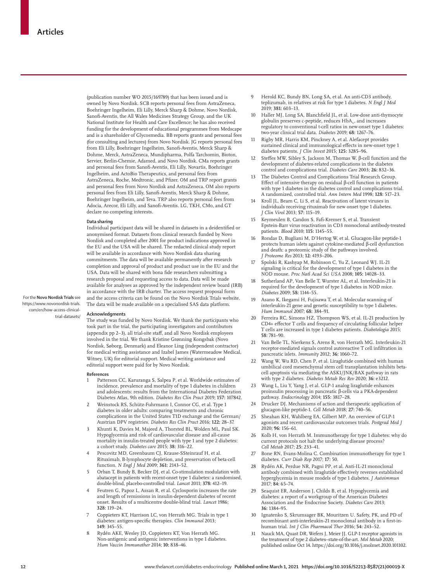(publication number WO 2015/169789) that has been issued and is owned by Novo Nordisk. SCB reports personal fees from AstraZeneca, Boehringer Ingelheim, Eli Lilly, Merck Sharp & Dohme, Novo Nordisk, Sanofi-Aventis, the All Wales Medicines Strategy Group, and the UK National Institute for Health and Care Excellence; he has also received funding for the development of educational programmes from Medscape and is a shareholder of Glycosmedia. BB reports grants and personal fees (for consulting and lectures) from Novo Nordisk. JG reports personal fees from Eli Lilly, Boehringer Ingelheim, Sanofi-Aventis, Merck Sharp & Dohme, Merck, AstraZeneca, Mundipharma, Polfa Tarchomin, Bioton, Servier, Berlin-Chemie, Adamed, and Novo Nordisk. CMa reports grants and personal fees from Sanofi-Aventis, Eli Lilly, Novartis, Boehringer Ingelheim, and ActoBio Therapeutics, and personal fees from AstraZeneca, Roche, Medtronic, and Pfizer. OM and TRP report grants and personal fees from Novo Nordisk and AstraZeneca. OM also reports personal fees from Eli Lilly, Sanofi-Aventis, Merck Sharp & Dohme, Boehringer Ingelheim, and Teva. TRP also reports personal fees from Adocia, Arecor, Eli Lilly, and Sanofi-Aventis. LG, TKH, CMo, and GT declare no competing interests.

#### **Data sharing**

Individual participant data will be shared in datasets in a deidentified or anonymised format. Datasets from clinical research funded by Novo Nordisk and completed after 2001 for product indications approved in the EU and the USA will be shared. The redacted clinical study report will be available in accordance with Novo Nordisk data sharing commitments. The data will be available permanently after research completion and approval of product and product use in the EU and the USA. Data will be shared with bona fide researchers submitting a research proposal and requesting access to data. Data will be made available for analyses as approved by the independent review board (IRB) in accordance with the IRB charter. The access request proposal form and the access criteria can be found on the [Novo Nordisk Trials website.](https://www.novonordisk-trials.com/en/how-access-clinical-trial-datasets/) The data will be made available on a specialised SAS data platform.

For the **Novo Nordisk Trials** see [https://www.novonordisk-trials.](https://www.novonordisk-trials.com/en/how-access-clinical-trial-datasets/) [com/en/how-access-clinical](https://www.novonordisk-trials.com/en/how-access-clinical-trial-datasets/)[trial-datasets/](https://www.novonordisk-trials.com/en/how-access-clinical-trial-datasets/)

#### **Acknowledgments**

The study was funded by Novo Nordisk. We thank the participants who took part in the trial, the participating investigators and contributors (appendix pp 2–3), all trial-site staff, and all Novo Nordisk employees involved in the trial. We thank Kristine Grønning Kongsbak (Novo Nordisk, Søborg, Denmark) and Eleanor Ling (independent contractor) for medical writing assistance and Izabel James (Watermeadow Medical, Witney, UK) for editorial support. Medical writing assistance and editorial support were paid for by Novo Nordisk.

#### **References**

- Patterson CC, Karuranga S, Salpea P, et al. Worldwide estimates of incidence, prevalence and mortality of type 1 diabetes in children and adolescents: results from the International Diabetes Federation Diabetes Atlas, 9th edition. *Diabetes Res Clin Pract* 2019; **157:** 107842.
- 2 Weinstock RS, Schütz-Fuhrmann I, Connor CG, et al. Type 1 diabetes in older adults: comparing treatments and chronic complications in the United States T1D exchange and the German/ Austrian DPV registries. *Diabetes Res Clin Pract* 2016; **122:** 28–37.
- 3 Khunti K, Davies M, Majeed A, Thorsted BL, Wolden ML, Paul SK. Hypoglycemia and risk of cardiovascular disease and all-cause mortality in insulin-treated people with type 1 and type 2 diabetes: a cohort study. *Diabetes care* 2015; **38:** 316–22.
- Pescovitz MD, Greenbaum CJ, Krause-SSteinrauf H, et al. Rituximab, B-lymphocyte depletion, and preservation of beta-cell function. *N Engl J Med* 2009; **361:** 2143–52.
- 5 Orban T, Bundy B, Becker DJ, et al. Co-stimulation modulation with abatacept in patients with recent-onset type 1 diabetes: a randomised, double-blind, placebo-controlled trial. *Lancet* 2011; **378:** 412–19.
- 4 Feutren G, Papoz L, Assan R, et al. Cyclosporin increases the rate and length of remissions in insulin-dependent diabetes of recent onset. Results of a multicentre double-blind trial. *Lancet* 1986; **328:** 119–24.
- 7 Coppieters KT, Harrison LC, von Herrath MG. Trials in type 1 diabetes: antigen-specific therapies. *Clin Immunol* 2013; **149:** 345–55.
- 8 Rydén AKE, Wesley JD, Coppieters KT, Von Herrath MG. Non-antigenic and antigenic interventions in type 1 diabetes. *Hum Vaccin Immunother* 2014; **10:** 838–46.
- 9 Herold KC, Bundy BN, Long SA, et al. An anti-CD3 antibody, teplizumab, in relatives at risk for type 1 diabetes. *N Engl J Med* 2019; **381:** 603–13.
- 10 Haller MJ, Long SA, Blanchfield JL, et al. Low-dose anti-thymocyte globulin preserves c-peptide, reduces  $\mathrm{HbA}_{\scriptscriptstyle{\text{1c}}}$  and increases regulatory to conventional t-cell ratios in new-onset type 1 diabetes: two-year clinical trial data. *Diabetes* 2019; **68:** 1267–76.
- Rigby MR, Harris KM, Pinckney A, et al. Alefacept provides sustained clinical and immunological effects in new-onset type 1 diabetes patients. *J Clin Invest* 2015; **125:** 3285–96.
- 12 Steffes MW, Sibley S, Jackson M, Thomas W. β-cell function and the development of diabetes-related complications in the diabetes control and complications trial. *Diabetes Care* 2003; **26:** 832–36.
- The Diabetes Control and Complications Trial Research Group. Effect of intensive therapy on residual β-cell function in patients with type 1 diabetes in the diabetes control and complications trial. A randomized, controlled trial. *Ann Intern Med* 1998; **128:** 517–23.
- Kroll JL, Beam C, Li S, et al. Reactivation of latent viruses in individuals receiving rituximab for new onset type 1 diabetes. *J Clin Virol* 2013; **57:** 115–19.
- Keymeulen B, Candon S, Fafi-Kremer S, et al. Transient Epstein-Barr virus reactivation in CD3 monoclonal antibody-treated patients. *Blood* 2010; **115:** 1145–55.
- 16 Rondas D, Bugliani M, D'Hertog W, et al. Glucagon-like peptide-1 protects human islets against cytokine-mediated β-cell dysfunction and death: a proteomic study of the pathways involved. *J Proteome Res* 2013; **12:** 4193–206.
- 17 Spolski R, Kashyap M, Robinson C, Yu Z, Leonard WJ. IL-21 signaling is critical for the development of type I diabetes in the NOD mouse. *Proc Natl Acad Sci USA* 2008; **105:** 14028–33.
- 18 Sutherland AP, Van Belle T, Wurster AL, et al. Interleukin-21 is required for the development of type 1 diabetes in NOD mice. *Diabetes* 2009; **58:** 1144–55.
- 19 Asano K, Ikegami H, Fujisawa T, et al. Molecular scanning of interleukin-21 gene and genetic susceptibility to type 1 diabetes. *Hum Immunol* 2007; **68:** 384–91.
- Ferreira RC, Simons HZ, Thompson WS, et al. IL-21 production by CD4+ effector T cells and frequency of circulating follicular helper T cells are increased in type 1 diabetes patients. *Diabetologia* 2015; **58:** 781–90.
- 21 Van Belle TL, Nierkens S, Arens R, von Herrath MG. Interleukin-21 receptor-mediated signals control autoreactive T cell infiltration in pancreatic islets. *Immunity* 2012; **36:** 1060–72.
- Wang W, Wu RD, Chen P, et al. Liraglutide combined with human umbilical cord mesenchymal stem cell transplantation inhibits betacell apoptosis via mediating the ASK1/JNK/BAX pathway in rats with type 2 diabetes. *Diabetes Metab Res Rev* 2020; **36:** e3212.
- 23 Wang L, Liu Y, Yang J, et al. GLP-1 analog liraglutide enhances proinsulin processing in pancreatic β-cells via a PKA-dependent pathway. *Endocrinology* 2014; **155:** 3817–28.
- Drucker DJ. Mechanisms of action and therapeutic application of glucagon-like peptide-1. *Cell Metab* 2018; **27:** 740–56.
- 25 Sheahan KH, Wahlberg EA, Gilbert MP. An overview of GLP-1 agonists and recent cardiovascular outcomes trials. *Postgrad Med J* 2020; **96:** 156–61.
- 26 Kolb H, von Herrath M. Immunotherapy for type 1 diabetes: why do current protocols not halt the underlying disease process? *Cell Metab* 2017; **25:** 233–41.
- 27 Bone RN, Evans-Molina C. Combination immunotherapy for type 1 diabetes. *Curr Diab Rep* 2017; **17:** 50.
- 28 Rydén AK, Perdue NR, Pagni PP, et al. Anti-IL-21 monoclonal antibody combined with liraglutide effectively reverses established hyperglycemia in mouse models of type 1 diabetes. *J Autoimmun* 2017; **84:** 65–74.
- 29 Seaquist ER, Anderson J, Childs B, et al. Hypoglycemia and diabetes: a report of a workgroup of the American Diabetes Association and the Endocrine Society. *Diabetes Care* 2013; **36:** 1384–95.
- Ignatenko S, Skrumsager BK, Mouritzen U. Safety, PK, and PD of recombinant anti-interleukin-21 monoclonal antibody in a first-inhuman trial. *Int J Clin Pharmacol Ther* 2016; **54:** 243–52.
- 31 Nauck MA, Quast DR, Wefers J, Meier JJ. GLP-1 receptor agonists in the treatment of type 2 diabetes–state-of-the-art. *Mol Metab* 2020; published online Oct 14. https://doi.org/10.1016/j.molmet.2020.101102.